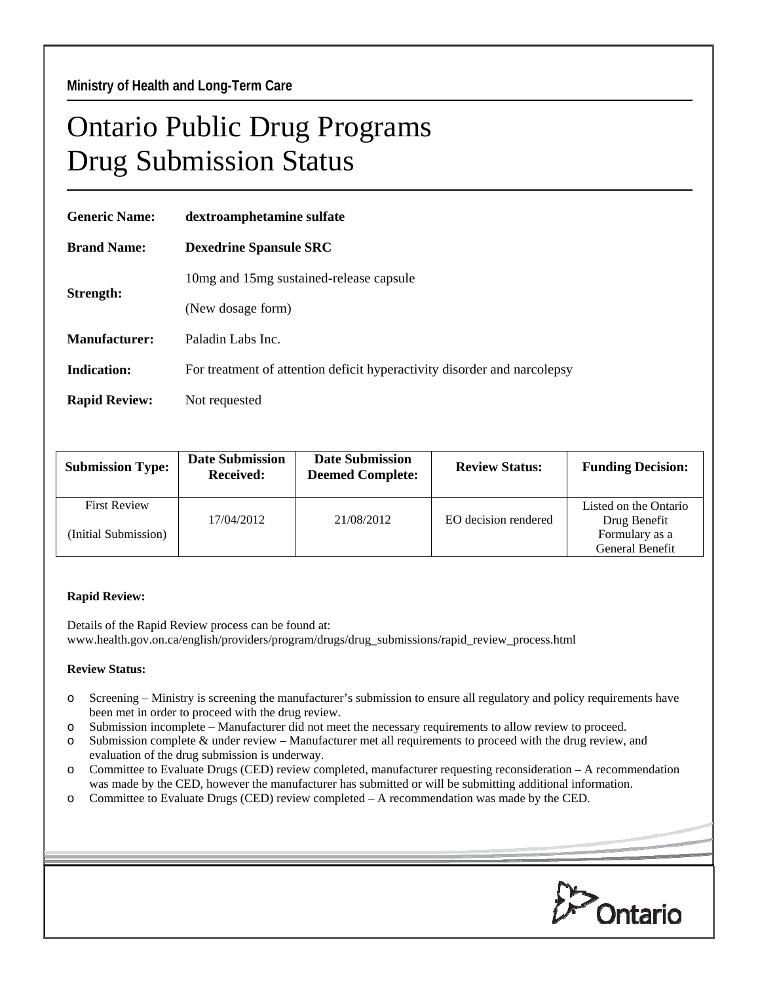## Ontario Public Drug Programs Drug Submission Status

| <b>Generic Name:</b> | dextroamphetamine sulfate                                                |  |  |  |
|----------------------|--------------------------------------------------------------------------|--|--|--|
| <b>Brand Name:</b>   | <b>Dexedrine Spansule SRC</b>                                            |  |  |  |
| Strength:            | 10mg and 15mg sustained-release capsule                                  |  |  |  |
|                      | (New dosage form)                                                        |  |  |  |
| <b>Manufacturer:</b> | Paladin Labs Inc.                                                        |  |  |  |
| <b>Indication:</b>   | For treatment of attention deficit hyperactivity disorder and narcolepsy |  |  |  |
| <b>Rapid Review:</b> | Not requested                                                            |  |  |  |
|                      |                                                                          |  |  |  |

| <b>Submission Type:</b> | <b>Date Submission</b><br><b>Received:</b> | <b>Date Submission</b><br><b>Deemed Complete:</b> | <b>Review Status:</b> | <b>Funding Decision:</b> |
|-------------------------|--------------------------------------------|---------------------------------------------------|-----------------------|--------------------------|
| <b>First Review</b>     |                                            |                                                   |                       | Listed on the Ontario    |
|                         | 17/04/2012                                 | 21/08/2012                                        | EO decision rendered  | Drug Benefit             |
| (Initial Submission)    |                                            |                                                   |                       | Formulary as a           |
|                         |                                            |                                                   |                       | General Benefit          |

## **Rapid Review:**

Details of the Rapid Review process can be found at: www.health.gov.on.ca/english/providers/program/drugs/drug\_submissions/rapid\_review\_process.html

## **Review Status:**

- o Screening Ministry is screening the manufacturer's submission to ensure all regulatory and policy requirements have been met in order to proceed with the drug review.
- o Submission incomplete Manufacturer did not meet the necessary requirements to allow review to proceed.
- o Submission complete & under review Manufacturer met all requirements to proceed with the drug review, and evaluation of the drug submission is underway.
- o Committee to Evaluate Drugs (CED) review completed, manufacturer requesting reconsideration A recommendation was made by the CED, however the manufacturer has submitted or will be submitting additional information.
- o Committee to Evaluate Drugs (CED) review completed A recommendation was made by the CED.